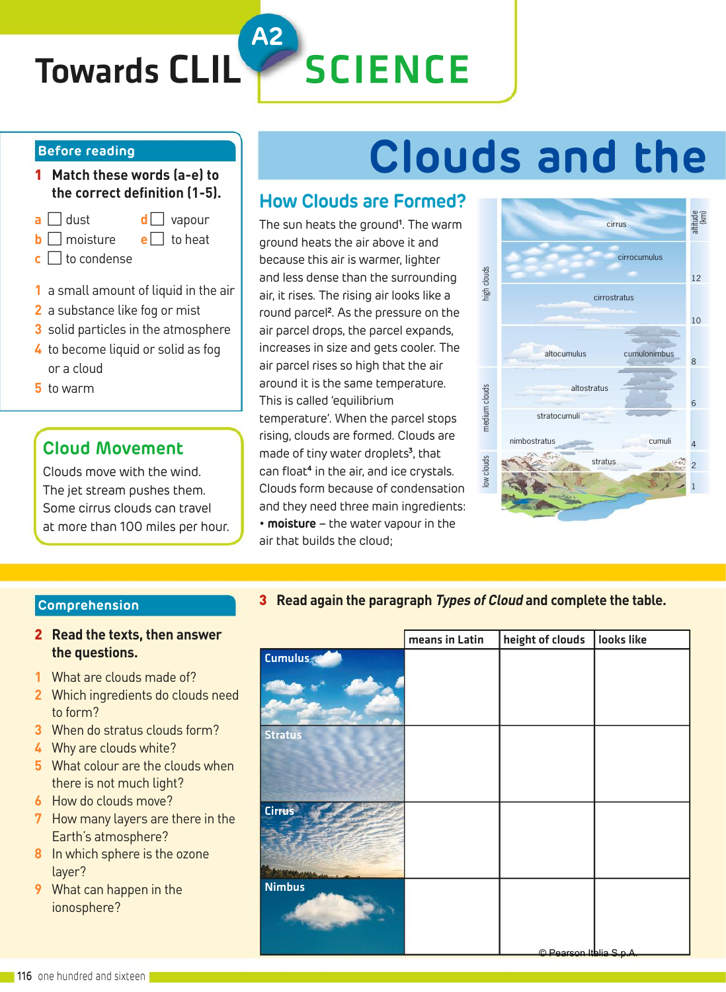# Towards CLIL

# **SCIENCE**

**A2**

#### **Before reading**

- 1 **Match these words (a-e) to the correct definition (1-5).**
- **a** dust **d** vapour
- **b** moisture **e** to heat
- $\mathbf{c} \Box$  to condense
- **1** a small amount of liquid in the air
- **2** a substance like fog or mist
- **3** solid particles in the atmosphere
- **4** to become liquid or solid as fog or a cloud
- **5** to warm

### **Cloud Movement**

Clouds move with the wind. The jet stream pushes them. Some cirrus clouds can travel at more than 100 miles per hour.

# **Clouds and the**

### **How Clouds are Formed?**

The sun heats the ground**<sup>1</sup>** . The warm ground heats the air above it and because this air is warmer, lighter and less dense than the surrounding air, it rises. The rising air looks like a round parcel**<sup>2</sup>** . As the pressure on the air parcel drops, the parcel expands, increases in size and gets cooler. The air parcel rises so high that the air around it is the same temperature. This is called 'equilibrium temperature'. When the parcel stops rising, clouds are formed. Clouds are made of tiny water droplets**<sup>3</sup>** , that can float**<sup>4</sup>** in the air, and ice crystals. Clouds form because of condensation and they need three main ingredients: • **moisture** – the water vapour in the air that builds the cloud; and less dense than the surrounding<br>
air, it rises. The rising air looks like a<br>
cirrostratus<br>
and parcel experies on the<br>
air parcel drops, the parcel expands,<br>
increases in size and gets cooler. The<br>
arround it is the sa



### **Comprehension**

### 2 **Read the texts, then answer the questions.**

- **1** What are clouds made of?
- **2** Which ingredients do clouds need to form?
- **3** When do stratus clouds form?
- **4** Why are clouds white?
- **5** What colour are the clouds when there is not much light?
- **6** How do clouds move?
- **7** How many layers are there in the Earth's atmosphere?
- **8** In which sphere is the ozone layer?
- **9** What can happen in the ionosphere?

|                | means in Latin | height of clouds | looks like |
|----------------|----------------|------------------|------------|
| Cumulus        |                |                  |            |
|                |                |                  |            |
| <b>Stratus</b> |                |                  |            |
|                |                |                  |            |
| <b>Cirrus</b>  |                |                  |            |
| <b>Nimbus</b>  |                |                  |            |

© Pearson Italia S.p.A